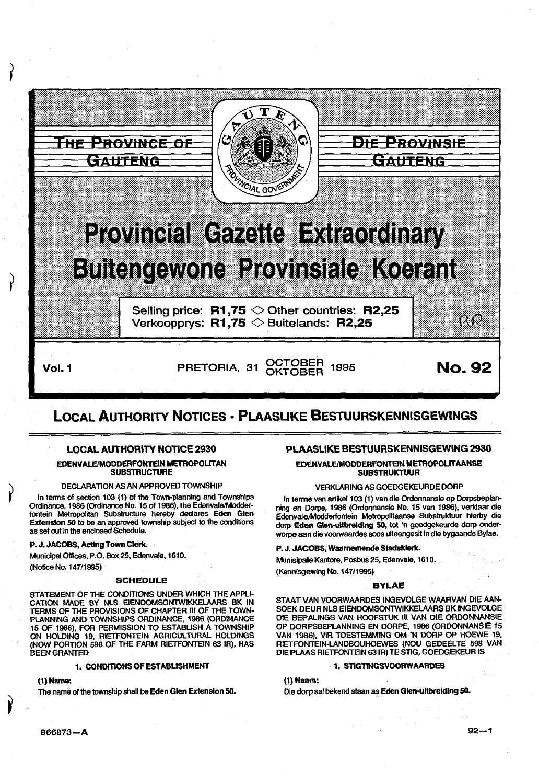

# LOCAL AUTHORITY NOTICES • PLAASLIKE BESTUURSKENNISGEWINGS

# LOCAL AUTHORITY NOTICE 2930

# EOENVALEIMODDERFONTEIN METROPOLITAN **SUBSTRUCTURE**

# DECLARATION AS AN APPROVED TOWNSHIP

In terms of section 103 (1) of the Town-planning and Townships Ordinance, 1986 (Ordinance No. 15 of 1986), the Edenvale/Modderfontein Metropolftan Substructure hereby declares Eden Glen Extension 50 to be an approved township subject to the conditions as set out in the enclosed Schedule.

#### P. J. JACOBS, Acting Town Clerk.

Municipal Offices, P.O. Box 25, Edenvale, 1610.

(Notice No. 147/1995)

#### SCHEDULE

STATEMENT OF THE CONDITIONS UNDER WHICH THE APPLI· CATION MADE BY NLS EIENDOMSONTWIKKELAARS BK IN TERMS OF THE PROVISIONS OF CHAPTER Ill OF THE TOWN· PLANNING AND TOWNSHIPS ORDINANCE, 1986 (ORDINANCE 15 OF 1986), FOR PERMISSION TO ESTABLISH A TOWNSHIP ON HOLDING 19, RIETFONTEIN AGRICULTURAL HOLDINGS (NOW PORTION 598 OF THE FARM RIETFONTEIN 63 IR), HAS BEEN GRANTED

# 1. CONDITIONS OF ESTABLISHMENT

(1) Name:

The name of the township shall be Eden Glen Extension 50.

# PLAASLIKE BESTUURSKENNISGEWING 2930

EDENVALE/MODDERFONTEIN METROPOLITAANSE **SUBSTRUKTUUR** 

# VERKLARING AS GOEDGEKEURDE DORP

In terme van artikel 103 (1) van die Ordonnansie op Dorpsbeplanning en Dorpe, 1986 (Ordonnansie No. 15 van 1986), verklaar die Edenvale/Moddertontein Metropolitaanse Substruktuur hierby die dorp Eden Glen-ultbreldlng 50, tot 'n goedgekeurde dorp onderworpe aan die voorwaardes soos ufteengesit in die bygaande Bylae.

#### P. J. JACOBS, Waarnemende Stadsklerk.

Munisipale Kantore, Posbus 25, Edenvale, 1610.

# (Kennisgewing No. 147/1995)

## BYLAE

STAAT VAN VOORWAARDES INGEVOLGE WAARVAN DIE AAN-SOEK DEUR NLS EIENDOMSONTWIKKELAARS BK INGEVOLGE DIE BEPALINGS VAN HOOFSTUK III VAN DIE ORDONNANSIE OP DORPSBEPLANNING EN DORPE, 1986 (OROONNANSIE 15 VAN 1986), VIR TOESTEMMING OM 'N DORP OP HOEWE 19, RIETFONTEIN-LANDBOUHOEWES (NOU GEDEELTE 598 VAN DIE PLAAS RIETFONTEIN 631R) TE STIG, GOEDGEKEUR IS

#### ·1. STIGTINGSVOORWAARDES

(1) Naam:

Die dorp sal bekend staan as Eden Glen-ultbreldlng so.

966873-A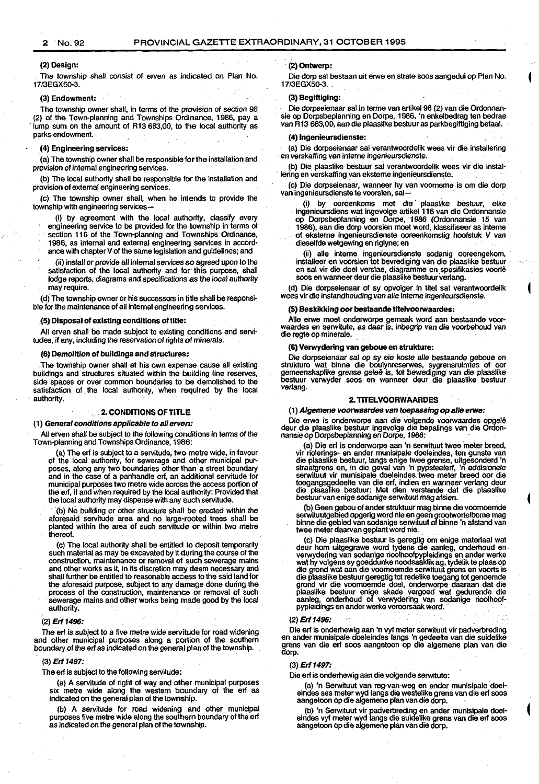#### (2) Design:

The township shall consist of erven as indicated on Plan No. 17/3EGX50·3.

#### (3) Endowment:

The township owner shall, in terms of the provision of section 98 (2) of the Town-planning and Townships Ordinance, 1986, pay a" ·lump sum on the amount of R13 683,00, to the local authority as parks endowment.

#### (4) Engineering services:

(a) The township owner shall be responsible for the installation and provision of internal engineering services.

(b) The local authority shall be responsible for the installation and provision of external engineering services.

(c) The township owner shall, when he intends to provide the township wtth engineering services-

(i) by agreement with the local authority, classify every engineering service to be provided for the township in terms of

section 116 of the Town-planning and Townships Ordinance, 1986, as internal and external engineering services in accord-

ance with chapter V of the same legislation and guidelines; and

(ii) install or provide all internal services so agreed upon to the satisfaction of the local authority and far this purpose, shall lodge reports, diagrams and specifications as the local authority may require.

(d) The township owner or his successors in title shall be responsible for the maintenance of all internal engineering services.

#### {5) Disposal of existing conditions of title:

All erven shall be made subject to existing conditions and servitudes, if any, including the reservation of rights of minerals.

#### (6) Demolition of buildings and structures:

The township owner shall at his own expense cause all existing buildings and structures situated within the building line reserves, side spaces or over common boundaries to be demolished to the satisfaction of the local authority, when required by the local authority.

# 2. CONDITIONS OF TITLE

(1) General conditions applicable to all erven:

All erven shall be subject to the following conditions in terms of the Town-planning and Townships Ordinance, 1986:

{a) The erf is subject to a servitude, two metre wide, in favour of the local authority, for sewerage and other municipal purposes, along any two boundaries other than a street boundary and in the case of a panhandle erf, an additional servitude for municipal purposes two metre wide across the access portion of the erf, if and when required by the local authority: Provided that the local authority may dispense with any such servitude.

(b) No building or other structure shall be erected within the aforesaid servitude area and no large-rooted trees shall be<br>planted within the area of such servitude or within two metre thereof.

(c) The local authority shall be entitled to deposit temporarily such material as may be excavated by it during the course of the construction, maintenance or removal of such sewerage mains and other works as it, in its discretion may deem necessary and shall further be entitled to reasonable access to the said land for the aforesaid purpose, subject to any damage done during the process of the construction, maintenance or removal of such sewerage mains and other works being made goad by the local authority.

#### (2) Erf 1496:

The erf is subject to a five metre wide servitude for road widening and other municipal purposes along a portion of the southern boundary of the erf as indicated on the general plan of the township.

#### (3) Erf 1497:

The erf is subject to the following servitude:

(a) A servitude of right of way and other municipal purposes six metre wide along the western boundary of the erf as indicated on the general plan of the township.

(b) A servitude for road widening and other municipal purposes five metre wide along the southern boundary of the erf as indicated on the general plan of the township.

#### (2) Ontwerp:

Die dorp sal bestaan uit erwe en strate soos aangedui op Plan No. 17/3EGX5Q-3.

# (3) Begiftiging:

Die dorpseienaar sal in terme van artikel 98 (2) van die Ordonnansie op Dorpsbeplanning en Dorpe, 1986, 'n enkelbedrag ten bedrae van R13 683,00, aan die plaaslike bestuur as parkbegiltiging betaal.

#### {4) lngenleursdienste:

(a) Die dorpseienaar sal verantwoordelik wees vir die installering en verskatting van interne ingenieursdienste.

(b) Die. plaaslike bestuur sal verantwoordelik wees vir die instal· lering en verskaffing van eksterne ingenieursdienste.

(c) Die dorpseienaar, wanneer hy van voomeme is om die dorp van ingenieursdienste te voorsien, sal-

(i) by ooreenkoms met die · plaaslike bestuur, elke ingenieursdiens wat ingevolge artikel 116 van die Ordonnansie op Oorpsbeplanning en Dorpe, 1986 (Ordonnansie 15 van 1986), aan die dorp voorsien moot word, klassifiseer as interne of eksteme ingenieursdienste ooreenkomstig hoofstuk V van dieselfde wetgewing en riglyne; en

(ii) aile interne ingenieursdienste sadanig ooreengekom, installeer en voorsien tot bevrediging van die plaaslike bestuur en sal vir die doel verslae, diagramme en spesifikasies voorle soos en wanneer deur die plaaslike bestuur vetlang.

(d) Die dorpseienaar of sy opvolger in titel sal verantwoordelik wees vir die instandhouding van aile interne ingenieursdienste.

# (5) Besklkking oor bestaande tltelvoorwaardes:

Aile erwe moet onderworpe gemaak word aan bestaande voor-waardes en serwitute, as daar is, inbegrip van die voorbehoud van die regte op minerale.

#### {6) Verwyderlng van geboue en strukture:

Die dorpseienaar sal op sy eie koste aile bestaande geboue en strukture wat binne die boulynreserwes, sygrensruimtes of oor gemeenskaplike grense gelee is, tot bevrediging van die plaaslike bestuur vervvyder soos en wanneer deur die plaaslike bestuur verlang.

# 2. TITELVOORWAARDES

{1) Algemene voorwaardes van toepasslng op aile erwe:

Die erwe is onderworpe aan die volgende voorwaardes opgele deur die plaaslike bestuur ingevolge die bepalings van die Ordon-nansie op Dorpsbeplanning en Dorpe, 1986:

(a) Die erf is onderworpe aan 'n serwituut twee "meter breed, vir riolerings- en ander munisipale doeleindes, ten gunste van die plaaslike bestuur, langs enige twee grense, uitgesonderd 'n straatgrens en, in die geval van 'n pypsteelerf, 'n addisionele serwituut vir munisipale doeleindes. twee meter breed oor die toegangsgedeelte van die erf, indien en wanneer vertang deur die plaaslike bestuur: Met dien verstande dat die plaaslike bestuur van enige sadanige serwituut mag afsien.

(b) Geen gebou of ander struktuur mag binne die voomoemde serwituutgebied opgerig word nie en geen grootwortelbome mag binne die gebied van sodanige serwituut of binne 'n afstand van<br>twee meter daarvan geplant word nie.

{c) Die plaaslike bestuur is geregtig om enige materiaal wat deur hom uitgegrawe word tydens die aanleg, onderhoud en vervvydering van sadanige rioolhoofpypleidings en ander werke wat hy volgens sy goeddunke noadsaaklik ag, tydelik te plaas op die grand wat aan die voornoemde serwituut grens en voorts is die plaaslike bestuur geregtig tot redelike toegang tot genoemde grond vir die voomoemde doel, onderworpe daaraan dat die plaaslike bestuur enige skade vergoed wat gedurende die aanleg, onderhoud of vervvydering van sadanige rioolhoofpypleidings en ander werke veroorsaak word, . "

#### (2) Erf 1496:

Die ert is onderhewig aan 'n vyl meter serwituut vir padverbreding en ander munisipale doeleindes langs 'n gedeelte van die suidelike grens van die erf soos aangetoon op die algemene plan van die dorp.

#### (3) Erf 1497:

Die erf is onderhewig aan die volgende serwttute:

(a) 'n Serwituut van reg-van-weg en ander munisipale doeleindes ses meter wyd langs die westelike grens van die erf soos aangetoon op die algemene plan van die dorp.

(b) 'n Serwituut vir padverbreding en ander munisipale doel· eindes vyl meter wyd langs die suidelike grens van die erf soos aangetoon op die algemene plan van die dorp.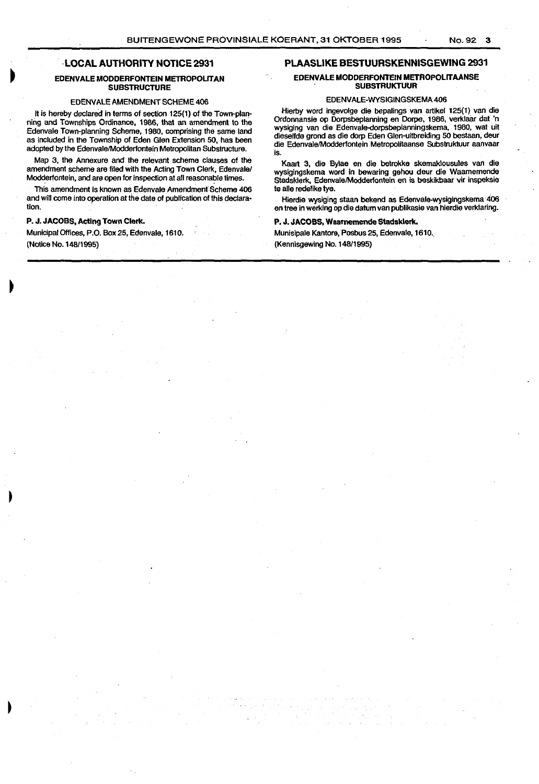# **LOCAL AUTHORITY NOTICE 2931**

# **EDENVALE MODDERFONTEIN METROPOLITAN SUBSTRUCTURE**

## EDENVALE AMENDMENT SCHEME 406

It is hereby declared in terms of section 125(1) of the Town-planning and Townships Ordinance, 1986, that an amendment to the Edenvale Town-planning Scheme, 1980, comprising the same land as included in the Township of Eden Glen Extension 50, has been adopted by the Edenvale/Modderfontein Metropolitan Substructure.

Map 3, the Annexure and the relevant scheme clauses of the amendment scheme are filed with the Acting Town Clerk, Edenvale/ Modderfontein, and are open for inspection at all reasonable times.

This amendment is known as Edenvale Amendment Scheme 406 and will come into operation at the date of publication of this declaration.

# **P. J. JACOBS, Acting Town Clerk.**

Municipal Offices, P.O. Box 25, Edenvale, 1610. (Notice No. 148/1995)

# **PLAASLIKE BESTUURSKENNISGEWING 2931**

# **EDENVALE MODDERFONTEIN METROPOLITAANSE SUBSTRUKTUUR**

### EDENVALE-WYSIGINGSKEMA406

Hierby word ingevolge die bepalings *van* artikel 125(1) *van* die Ordonnansie op Dorpsbeplanning en Dorpe, 1986, verklaar dat 'n wysiging *van* die Edenvale-dorpsbeplanningskema, 1980, wat uit dieselfde grond as die dorp Eden Glen-uitbreiding 50 bestaan, deur die Edenvale/Modderfontein Metropolitaanse Substruktuur aanvaar is.

Kaart 3, die Bylae en die betrokke skemaklousules *van* die wysigingskema word in bewaring gehou deur die Waamemende Stadsklerk, Edenvate/Modderfontein en is beskikbaar vir inspeksie te alle redelike tye.

Hierdie wysiging staan bekend as Edenvate-wysigingskema 4o6 en tree in werking op die datum van publikasie van hierdie verktaring.

# **P. J. JACOBS, Waarriemende Stadsklerk.**

Munisipale Kantore, Posbus25, Edenvate,1610.

(Kennisgewing No. 148/1995)